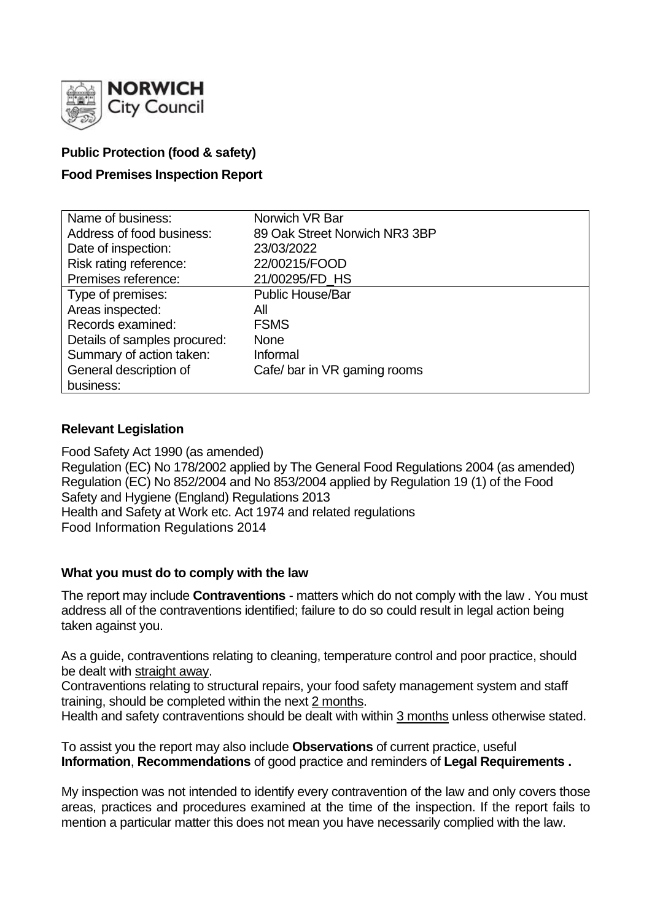

## **Public Protection (food & safety)**

## **Food Premises Inspection Report**

| Name of business:            | Norwich VR Bar                |
|------------------------------|-------------------------------|
| Address of food business:    | 89 Oak Street Norwich NR3 3BP |
| Date of inspection:          | 23/03/2022                    |
| Risk rating reference:       | 22/00215/FOOD                 |
| Premises reference:          | 21/00295/FD HS                |
| Type of premises:            | <b>Public House/Bar</b>       |
| Areas inspected:             | All                           |
| Records examined:            | <b>FSMS</b>                   |
| Details of samples procured: | <b>None</b>                   |
| Summary of action taken:     | Informal                      |
| General description of       | Cafe/bar in VR gaming rooms   |
| business:                    |                               |

### **Relevant Legislation**

Food Safety Act 1990 (as amended) Regulation (EC) No 178/2002 applied by The General Food Regulations 2004 (as amended) Regulation (EC) No 852/2004 and No 853/2004 applied by Regulation 19 (1) of the Food Safety and Hygiene (England) Regulations 2013 Health and Safety at Work etc. Act 1974 and related regulations Food Information Regulations 2014

### **What you must do to comply with the law**

The report may include **Contraventions** - matters which do not comply with the law . You must address all of the contraventions identified; failure to do so could result in legal action being taken against you.

As a guide, contraventions relating to cleaning, temperature control and poor practice, should be dealt with straight away.

Contraventions relating to structural repairs, your food safety management system and staff training, should be completed within the next 2 months.

Health and safety contraventions should be dealt with within 3 months unless otherwise stated.

To assist you the report may also include **Observations** of current practice, useful **Information**, **Recommendations** of good practice and reminders of **Legal Requirements .**

My inspection was not intended to identify every contravention of the law and only covers those areas, practices and procedures examined at the time of the inspection. If the report fails to mention a particular matter this does not mean you have necessarily complied with the law.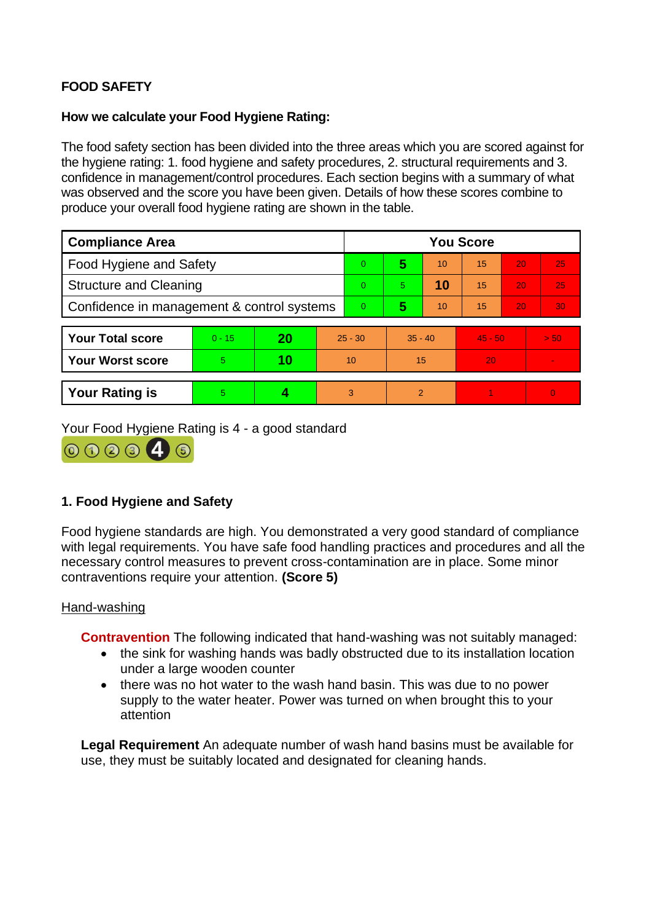# **FOOD SAFETY**

### **How we calculate your Food Hygiene Rating:**

The food safety section has been divided into the three areas which you are scored against for the hygiene rating: 1. food hygiene and safety procedures, 2. structural requirements and 3. confidence in management/control procedures. Each section begins with a summary of what was observed and the score you have been given. Details of how these scores combine to produce your overall food hygiene rating are shown in the table.

| <b>Compliance Area</b>                     |          |    |                | <b>You Score</b> |           |    |           |    |          |  |  |
|--------------------------------------------|----------|----|----------------|------------------|-----------|----|-----------|----|----------|--|--|
| Food Hygiene and Safety                    |          |    |                | $\overline{0}$   | 5         | 10 | 15        | 20 | 25       |  |  |
| <b>Structure and Cleaning</b>              |          |    |                | $\overline{0}$   | 5         | 10 | 15        | 20 | 25       |  |  |
| Confidence in management & control systems |          |    | $\overline{0}$ | 5                | 10        | 15 | 20        | 30 |          |  |  |
|                                            |          |    |                |                  |           |    |           |    |          |  |  |
| <b>Your Total score</b>                    | $0 - 15$ | 20 | $25 - 30$      |                  | $35 - 40$ |    | $45 - 50$ |    | > 50     |  |  |
| <b>Your Worst score</b>                    | 5        | 10 | 10             |                  | 15        |    | 20        |    |          |  |  |
|                                            |          |    |                |                  |           |    |           |    |          |  |  |
| <b>Your Rating is</b>                      | 5        | 4  |                | 3                | 2         |    |           |    | $\Omega$ |  |  |

Your Food Hygiene Rating is 4 - a good standard



## **1. Food Hygiene and Safety**

Food hygiene standards are high. You demonstrated a very good standard of compliance with legal requirements. You have safe food handling practices and procedures and all the necessary control measures to prevent cross-contamination are in place. Some minor contraventions require your attention. **(Score 5)**

### Hand-washing

**Contravention** The following indicated that hand-washing was not suitably managed:

- the sink for washing hands was badly obstructed due to its installation location under a large wooden counter
- there was no hot water to the wash hand basin. This was due to no power supply to the water heater. Power was turned on when brought this to your attention

**Legal Requirement** An adequate number of wash hand basins must be available for use, they must be suitably located and designated for cleaning hands.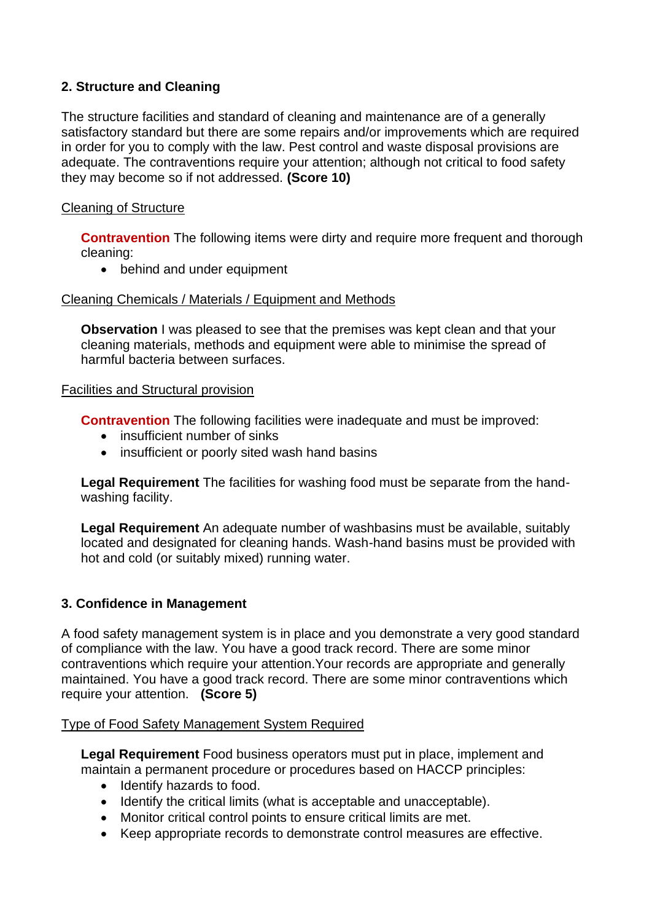## **2. Structure and Cleaning**

The structure facilities and standard of cleaning and maintenance are of a generally satisfactory standard but there are some repairs and/or improvements which are required in order for you to comply with the law. Pest control and waste disposal provisions are adequate. The contraventions require your attention; although not critical to food safety they may become so if not addressed. **(Score 10)**

### Cleaning of Structure

**Contravention** The following items were dirty and require more frequent and thorough cleaning:

• behind and under equipment

### Cleaning Chemicals / Materials / Equipment and Methods

**Observation** I was pleased to see that the premises was kept clean and that your cleaning materials, methods and equipment were able to minimise the spread of harmful bacteria between surfaces.

### Facilities and Structural provision

**Contravention** The following facilities were inadequate and must be improved:

- insufficient number of sinks
- insufficient or poorly sited wash hand basins

**Legal Requirement** The facilities for washing food must be separate from the handwashing facility.

**Legal Requirement** An adequate number of washbasins must be available, suitably located and designated for cleaning hands. Wash-hand basins must be provided with hot and cold (or suitably mixed) running water.

### **3. Confidence in Management**

A food safety management system is in place and you demonstrate a very good standard of compliance with the law. You have a good track record. There are some minor contraventions which require your attention.Your records are appropriate and generally maintained. You have a good track record. There are some minor contraventions which require your attention. **(Score 5)**

### Type of Food Safety Management System Required

**Legal Requirement** Food business operators must put in place, implement and maintain a permanent procedure or procedures based on HACCP principles:

- Identify hazards to food.
- Identify the critical limits (what is acceptable and unacceptable).
- Monitor critical control points to ensure critical limits are met.
- Keep appropriate records to demonstrate control measures are effective.